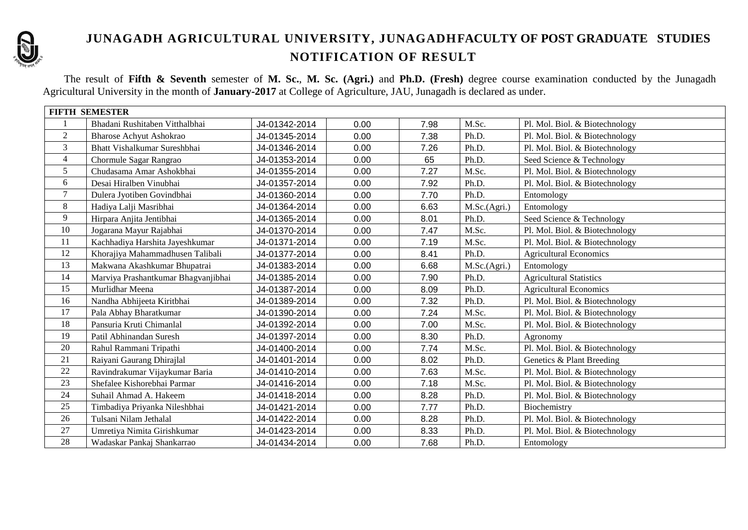

## **JUNAGADH AGRICULTURAL UNIVERSITY, JUNAGADHFACULTY OF POST GRADUATE STUDIES NOTIFICATION OF RESULT**

The result of **Fifth & Seventh** semester of **M. Sc.**, **M. Sc. (Agri.)** and **Ph.D. (Fresh)** degree course examination conducted by the Junagadh Agricultural University in the month of **January-2017** at College of Agriculture, JAU, Junagadh is declared as under.

| <b>FIFTH SEMESTER</b> |                                     |               |      |      |              |                                |  |  |  |
|-----------------------|-------------------------------------|---------------|------|------|--------------|--------------------------------|--|--|--|
|                       | Bhadani Rushitaben Vitthalbhai      | J4-01342-2014 | 0.00 | 7.98 | M.Sc.        | Pl. Mol. Biol. & Biotechnology |  |  |  |
| 2                     | <b>Bharose Achyut Ashokrao</b>      | J4-01345-2014 | 0.00 | 7.38 | Ph.D.        | Pl. Mol. Biol. & Biotechnology |  |  |  |
| 3                     | Bhatt Vishalkumar Sureshbhai        | J4-01346-2014 | 0.00 | 7.26 | Ph.D.        | Pl. Mol. Biol. & Biotechnology |  |  |  |
| $\overline{4}$        | Chormule Sagar Rangrao              | J4-01353-2014 | 0.00 | 65   | Ph.D.        | Seed Science & Technology      |  |  |  |
| 5                     | Chudasama Amar Ashokbhai            | J4-01355-2014 | 0.00 | 7.27 | M.Sc.        | Pl. Mol. Biol. & Biotechnology |  |  |  |
| 6                     | Desai Hiralben Vinubhai             | J4-01357-2014 | 0.00 | 7.92 | Ph.D.        | Pl. Mol. Biol. & Biotechnology |  |  |  |
| $\overline{7}$        | Dulera Jyotiben Govindbhai          | J4-01360-2014 | 0.00 | 7.70 | Ph.D.        | Entomology                     |  |  |  |
| 8                     | Hadiya Lalji Masribhai              | J4-01364-2014 | 0.00 | 6.63 | M.Sc.(Agri.) | Entomology                     |  |  |  |
| 9                     | Hirpara Anjita Jentibhai            | J4-01365-2014 | 0.00 | 8.01 | Ph.D.        | Seed Science & Technology      |  |  |  |
| 10                    | Jogarana Mayur Rajabhai             | J4-01370-2014 | 0.00 | 7.47 | M.Sc.        | Pl. Mol. Biol. & Biotechnology |  |  |  |
| 11                    | Kachhadiya Harshita Jayeshkumar     | J4-01371-2014 | 0.00 | 7.19 | M.Sc.        | Pl. Mol. Biol. & Biotechnology |  |  |  |
| 12                    | Khorajiya Mahammadhusen Talibali    | J4-01377-2014 | 0.00 | 8.41 | Ph.D.        | <b>Agricultural Economics</b>  |  |  |  |
| 13                    | Makwana Akashkumar Bhupatrai        | J4-01383-2014 | 0.00 | 6.68 | M.Sc.(Agri.) | Entomology                     |  |  |  |
| 14                    | Marviya Prashantkumar Bhagvanjibhai | J4-01385-2014 | 0.00 | 7.90 | Ph.D.        | <b>Agricultural Statistics</b> |  |  |  |
| 15                    | Murlidhar Meena                     | J4-01387-2014 | 0.00 | 8.09 | Ph.D.        | <b>Agricultural Economics</b>  |  |  |  |
| 16                    | Nandha Abhijeeta Kiritbhai          | J4-01389-2014 | 0.00 | 7.32 | Ph.D.        | Pl. Mol. Biol. & Biotechnology |  |  |  |
| 17                    | Pala Abhay Bharatkumar              | J4-01390-2014 | 0.00 | 7.24 | M.Sc.        | Pl. Mol. Biol. & Biotechnology |  |  |  |
| 18                    | Pansuria Kruti Chimanlal            | J4-01392-2014 | 0.00 | 7.00 | M.Sc.        | Pl. Mol. Biol. & Biotechnology |  |  |  |
| 19                    | Patil Abhinandan Suresh             | J4-01397-2014 | 0.00 | 8.30 | Ph.D.        | Agronomy                       |  |  |  |
| 20                    | Rahul Rammani Tripathi              | J4-01400-2014 | 0.00 | 7.74 | M.Sc.        | Pl. Mol. Biol. & Biotechnology |  |  |  |
| 21                    | Raiyani Gaurang Dhirajlal           | J4-01401-2014 | 0.00 | 8.02 | Ph.D.        | Genetics & Plant Breeding      |  |  |  |
| 22                    | Ravindrakumar Vijaykumar Baria      | J4-01410-2014 | 0.00 | 7.63 | M.Sc.        | Pl. Mol. Biol. & Biotechnology |  |  |  |
| 23                    | Shefalee Kishorebhai Parmar         | J4-01416-2014 | 0.00 | 7.18 | M.Sc.        | Pl. Mol. Biol. & Biotechnology |  |  |  |
| 24                    | Suhail Ahmad A. Hakeem              | J4-01418-2014 | 0.00 | 8.28 | Ph.D.        | Pl. Mol. Biol. & Biotechnology |  |  |  |
| 25                    | Timbadiya Priyanka Nileshbhai       | J4-01421-2014 | 0.00 | 7.77 | Ph.D.        | Biochemistry                   |  |  |  |
| 26                    | Tulsani Nilam Jethalal              | J4-01422-2014 | 0.00 | 8.28 | Ph.D.        | Pl. Mol. Biol. & Biotechnology |  |  |  |
| 27                    | Umretiya Nimita Girishkumar         | J4-01423-2014 | 0.00 | 8.33 | Ph.D.        | Pl. Mol. Biol. & Biotechnology |  |  |  |
| 28                    | Wadaskar Pankaj Shankarrao          | J4-01434-2014 | 0.00 | 7.68 | Ph.D.        | Entomology                     |  |  |  |